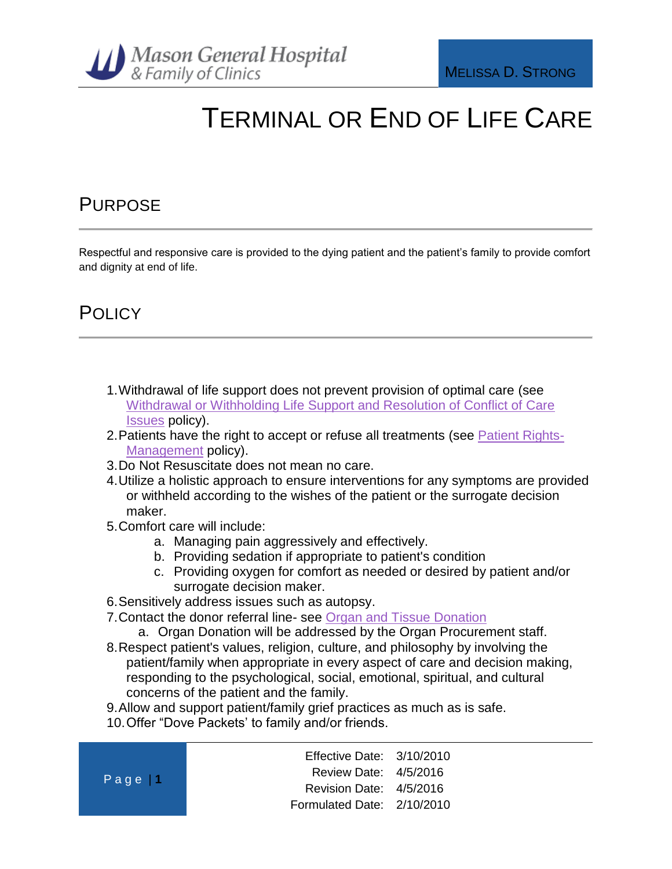

## TERMINAL OR END OF LIFE CARE

### PURPOSE

Respectful and responsive care is provided to the dying patient and the patient's family to provide comfort and dignity at end of life.

### **POLICY**

- 1.Withdrawal of life support does not prevent provision of optimal care (see [Withdrawal or Withholding Life Support and Resolution of Conflict of Care](http://phd1/mghfc/policies-and-procedures/Library/Withdrawal%20or%20Withholding%20Life%20Support%20and%20Resolution%20of%20Conflict%20of%20Care%20Decisions.docx)  [Issues](http://phd1/mghfc/policies-and-procedures/Library/Withdrawal%20or%20Withholding%20Life%20Support%20and%20Resolution%20of%20Conflict%20of%20Care%20Decisions.docx) policy).
- 2.Patients have the right to accept or refuse all treatments (see [Patient Rights-](http://phd1/mghfc/policies-and-procedures/Library/Patient%20Rights-%20Management.docx)[Management](http://phd1/mghfc/policies-and-procedures/Library/Patient%20Rights-%20Management.docx) policy).
- 3.Do Not Resuscitate does not mean no care.
- 4.Utilize a holistic approach to ensure interventions for any symptoms are provided or withheld according to the wishes of the patient or the surrogate decision maker.
- 5.Comfort care will include:
	- a. Managing pain aggressively and effectively.
	- b. Providing sedation if appropriate to patient's condition
	- c. Providing oxygen for comfort as needed or desired by patient and/or surrogate decision maker.
- 6.Sensitively address issues such as autopsy.
- 7.Contact the donor referral line- see [Organ and Tissue Donation](http://phd1/mghfc/policies-and-procedures/Library/Organ%20and%20Tissue%20Donation.docx)
	- a. Organ Donation will be addressed by the Organ Procurement staff.
- 8.Respect patient's values, religion, culture, and philosophy by involving the patient/family when appropriate in every aspect of care and decision making, responding to the psychological, social, emotional, spiritual, and cultural concerns of the patient and the family.
- 9.Allow and support patient/family grief practices as much as is safe.
- 10.Offer "Dove Packets' to family and/or friends.

| Page $ 1 $ | Effective Date: $3/10/2010$ |  |
|------------|-----------------------------|--|
|            | Review Date: 4/5/2016       |  |
|            | Revision Date: 4/5/2016     |  |
|            | Formulated Date: 2/10/2010  |  |